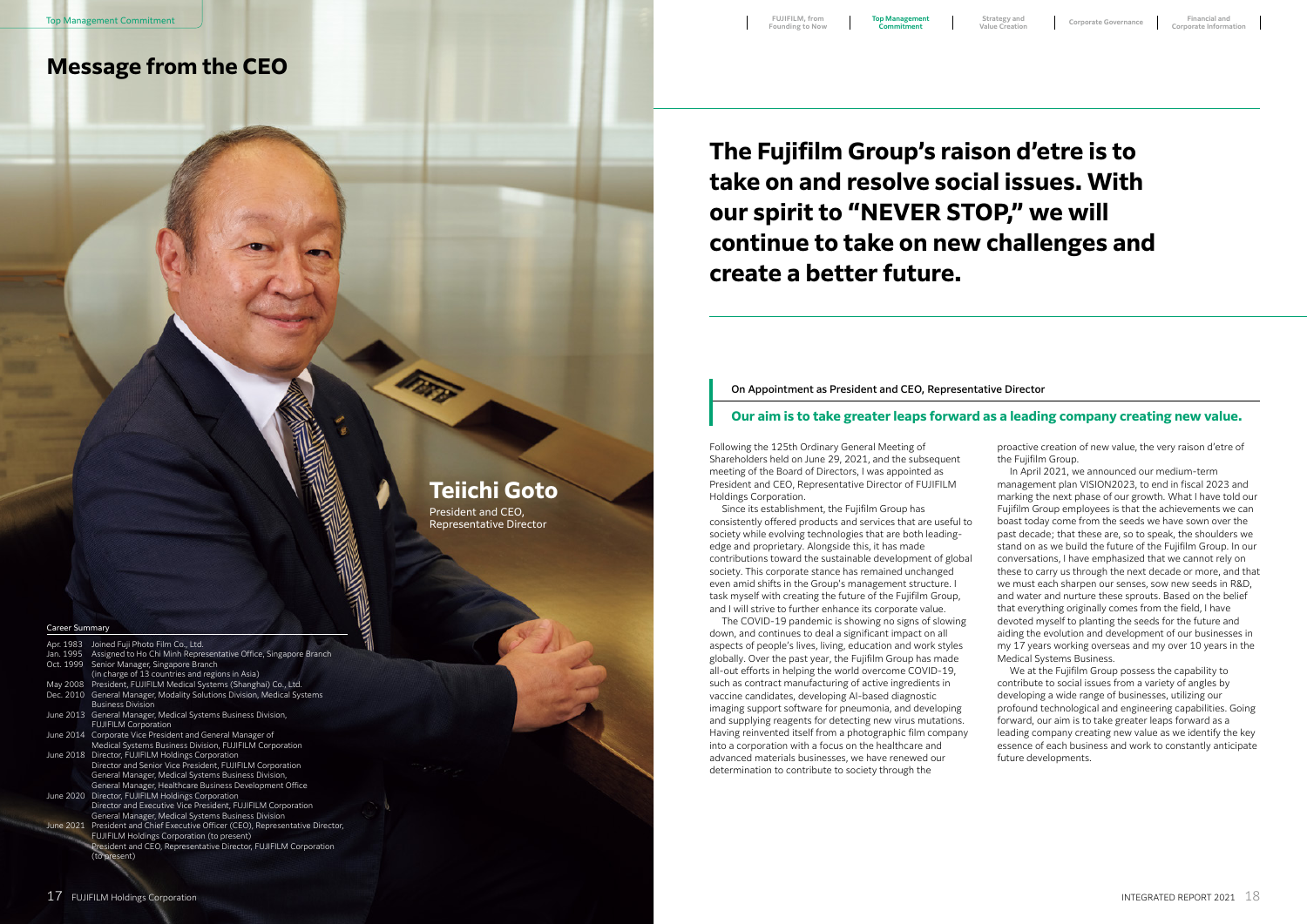**The Fujifilm Group's raison d'etre is to take on and resolve social issues. With our spirit to "NEVER STOP," we will continue to take on new challenges and create a better future.**

## **Teiichi Goto**

President and CEO, Representative Director

#### Career Summ

| Apr. 1983 | Joined Fuji Photo Film Co., Ltd.                                                |  |
|-----------|---------------------------------------------------------------------------------|--|
| Jan. 1995 | Assigned to Ho Chi Minh Representative Office, Singapore Branch                 |  |
| Oct. 1999 | Senior Manager, Singapore Branch                                                |  |
|           | (in charge of 13 countries and regions in Asia)                                 |  |
| May 2008  | President, FUJIFILM Medical Systems (Shanghai) Co., Ltd.                        |  |
| Dec. 2010 | General Manager, Modality Solutions Division, Medical Systems                   |  |
|           | <b>Business Division</b>                                                        |  |
|           | June 2013 General Manager, Medical Systems Business Division,                   |  |
|           | <b>FUJIFILM Corporation</b>                                                     |  |
|           | June 2014 Corporate Vice President and General Manager of                       |  |
|           | Medical Systems Business Division, FUJIFILM Corporation                         |  |
|           | June 2018 Director, FUJIFILM Holdings Corporation                               |  |
|           | Director and Senior Vice President, FUJIFILM Corporation                        |  |
|           | General Manager, Medical Systems Business Division,                             |  |
|           | General Manager, Healthcare Business Development Office                         |  |
|           | June 2020 Director, FUJIFILM Holdings Corporation                               |  |
|           | Director and Executive Vice President, FUJIFILM Corporation                     |  |
|           | General Manager, Medical Systems Business Division                              |  |
|           | June 2021 President and Chief Executive Officer (CEO), Representative Director, |  |
|           | <b>FUJIFILM Holdings Corporation (to present)</b>                               |  |
|           | President and CEO, Representative Director, FUJIFILM Corporation                |  |
|           | (to present)                                                                    |  |
|           |                                                                                 |  |
|           |                                                                                 |  |

# **Message from the CEO**

Following the 125th Ordinary General Meeting of Shareholders held on June 29, 2021, and the subsequent meeting of the Board of Directors, I was appointed as President and CEO, Representative Director of FUJIFILM Holdings Corporation.

Since its establishment, the Fujifilm Group has consistently offered products and services that are useful to society while evolving technologies that are both leadingedge and proprietary. Alongside this, it has made contributions toward the sustainable development of global society. This corporate stance has remained unchanged even amid shifts in the Group's management structure. I task myself with creating the future of the Fujifilm Group, and I will strive to further enhance its corporate value.

The COVID-19 pandemic is showing no signs of slowing down, and continues to deal a significant impact on all aspects of people's lives, living, education and work styles globally. Over the past year, the Fujifilm Group has made all-out efforts in helping the world overcome COVID-19, such as contract manufacturing of active ingredients in vaccine candidates, developing AI-based diagnostic imaging support software for pneumonia, and developing and supplying reagents for detecting new virus mutations. Having reinvented itself from a photographic film company into a corporation with a focus on the healthcare and advanced materials businesses, we have renewed our determination to contribute to society through the

proactive creation of new value, the very raison d'etre of the Fujifilm Group.

In April 2021, we announced our medium-term management plan VISION2023, to end in fiscal 2023 and marking the next phase of our growth. What I have told our Fujifilm Group employees is that the achievements we can boast today come from the seeds we have sown over the past decade; that these are, so to speak, the shoulders we stand on as we build the future of the Fujifilm Group. In our conversations, I have emphasized that we cannot rely on these to carry us through the next decade or more, and that we must each sharpen our senses, sow new seeds in R&D, and water and nurture these sprouts. Based on the belief that everything originally comes from the field, I have devoted myself to planting the seeds for the future and aiding the evolution and development of our businesses in my 17 years working overseas and my over 10 years in the Medical Systems Business.

We at the Fujifilm Group possess the capability to contribute to social issues from a variety of angles by developing a wide range of businesses, utilizing our profound technological and engineering capabilities. Going forward, our aim is to take greater leaps forward as a leading company creating new value as we identify the key essence of each business and work to constantly anticipate future developments.

### On Appointment as President and CEO, Representative Director

### **Our aim is to take greater leaps forward as a leading company creating new value.**

**Commitment**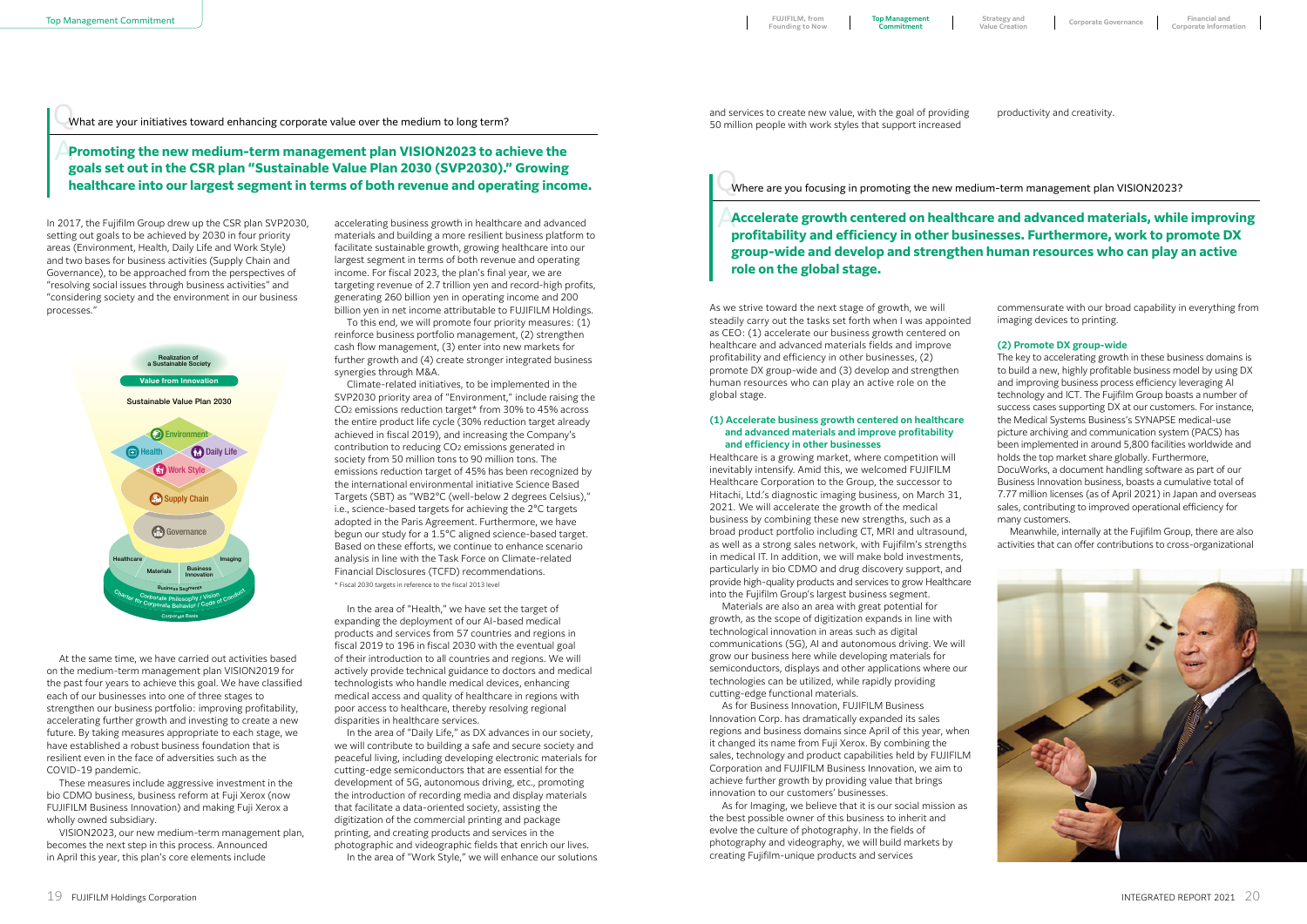In 2017, the Fujifilm Group drew up the CSR plan SVP2030, setting out goals to be achieved by 2030 in four priority areas (Environment, Health, Daily Life and Work Style) and two bases for business activities (Supply Chain and Governance), to be approached from the perspectives of "resolving social issues through business activities" and "considering society and the environment in our business processes."

At the same time, we have carried out activities based on the medium-term management plan VISION2019 for the past four years to achieve this goal. We have classified each of our businesses into one of three stages to strengthen our business portfolio: improving profitability, accelerating further growth and investing to create a new future. By taking measures appropriate to each stage, we have established a robust business foundation that is resilient even in the face of adversities such as the COVID-19 pandemic.

These measures include aggressive investment in the bio CDMO business, business reform at Fuji Xerox (now FUJIFILM Business Innovation) and making Fuji Xerox a wholly owned subsidiary.

VISION2023, our new medium-term management plan, becomes the next step in this process. Announced in April this year, this plan's core elements include

\* Fiscal 2030 targets in reference to the fiscal 2013 level Climate-related initiatives, to be implemented in the SVP2030 priority area of "Environment," include raising the CO2 emissions reduction target\* from 30% to 45% across the entire product life cycle (30% reduction target already achieved in fiscal 2019), and increasing the Company's contribution to reducing CO2 emissions generated in society from 50 million tons to 90 million tons. The emissions reduction target of 45% has been recognized by the international environmental initiative Science Based Targets (SBT) as "WB2°C (well-below 2 degrees Celsius)," i.e., science-based targets for achieving the 2°C targets adopted in the Paris Agreement. Furthermore, we have begun our study for a 1.5°C aligned science-based target. Based on these efforts, we continue to enhance scenario analysis in line with the Task Force on Climate-related Financial Disclosures (TCFD) recommendations.

accelerating business growth in healthcare and advanced materials and building a more resilient business platform to facilitate sustainable growth, growing healthcare into our largest segment in terms of both revenue and operating income. For fiscal 2023, the plan's final year, we are targeting revenue of 2.7 trillion yen and record-high profits, generating 260 billion yen in operating income and 200 billion yen in net income attributable to FUJIFILM Holdings.

To this end, we will promote four priority measures: (1) reinforce business portfolio management, (2) strengthen cash flow management, (3) enter into new markets for further growth and (4) create stronger integrated business synergies through M&A.

In the area of "Health," we have set the target of expanding the deployment of our AI-based medical products and services from 57 countries and regions in fiscal 2019 to 196 in fiscal 2030 with the eventual goal of their introduction to all countries and regions. We will actively provide technical guidance to doctors and medical technologists who handle medical devices, enhancing medical access and quality of healthcare in regions with poor access to healthcare, thereby resolving regional disparities in healthcare services.

In the area of "Daily Life," as DX advances in our society, we will contribute to building a safe and secure society and peaceful living, including developing electronic materials for cutting-edge semiconductors that are essential for the development of 5G, autonomous driving, etc., promoting the introduction of recording media and display materials that facilitate a data-oriented society, assisting the digitization of the commercial printing and package printing, and creating products and services in the photographic and videographic fields that enrich our lives.

**Promoting the new medium-term management plan VISION2023 to achieve the goals set out in the CSR plan "Sustainable Value Plan 2030 (SVP2030)." Growing healthcare into our largest segment in terms of both revenue and operating income.**

In the area of "Work Style," we will enhance our solutions

## Accelerate growth centered on healthcare and advanced materials, while improving<br>
Accelerate growth centered on healthcare and advanced materials, while improving **profitability and efficiency in other businesses. Furthermore, work to promote DX group-wide and develop and strengthen human resources who can play an active role on the global stage.**

As we strive toward the next stage of growth, we will steadily carry out the tasks set forth when I was appointed as CEO: (1) accelerate our business growth centered on healthcare and advanced materials fields and improve profitability and efficiency in other businesses, (2) promote DX group-wide and (3) develop and strengthen human resources who can play an active role on the global stage.

#### **(1) Accelerate business growth centered on healthcare and advanced materials and improve profitability and efficiency in other businesses**

Healthcare is a growing market, where competition will inevitably intensify. Amid this, we welcomed FUJIFILM Healthcare Corporation to the Group, the successor to Hitachi, Ltd.'s diagnostic imaging business, on March 31, 2021. We will accelerate the growth of the medical business by combining these new strengths, such as a broad product portfolio including CT, MRI and ultrasound, as well as a strong sales network, with Fujifilm's strengths in medical IT. In addition, we will make bold investments, particularly in bio CDMO and drug discovery support, and provide high-quality products and services to grow Healthcare into the Fujifilm Group's largest business segment.

Materials are also an area with great potential for growth, as the scope of digitization expands in line with technological innovation in areas such as digital communications (5G), AI and autonomous driving. We will grow our business here while developing materials for semiconductors, displays and other applications where our technologies can be utilized, while rapidly providing cutting-edge functional materials.

As for Business Innovation, FUJIFILM Business Innovation Corp. has dramatically expanded its sales regions and business domains since April of this year, when it changed its name from Fuji Xerox. By combining the sales, technology and product capabilities held by FUJIFILM Corporation and FUJIFILM Business Innovation, we aim to achieve further growth by providing value that brings innovation to our customers' businesses.

As for Imaging, we believe that it is our social mission as the best possible owner of this business to inherit and evolve the culture of photography. In the fields of photography and videography, we will build markets by creating Fujifilm-unique products and services

commensurate with our broad capability in everything from imaging devices to printing.

#### **(2) Promote DX group-wide**

The key to accelerating growth in these business domains is to build a new, highly profitable business model by using DX and improving business process efficiency leveraging AI technology and ICT. The Fujifilm Group boasts a number of success cases supporting DX at our customers. For instance, the Medical Systems Business's SYNAPSE medical-use picture archiving and communication system (PACS) has been implemented in around 5,800 facilities worldwide and holds the top market share globally. Furthermore, DocuWorks, a document handling software as part of our Business Innovation business, boasts a cumulative total of 7.77 million licenses (as of April 2021) in Japan and overseas sales, contributing to improved operational efficiency for many customers.

Meanwhile, internally at the Fujifilm Group, there are also activities that can offer contributions to cross-organizational



and services to create new value, with the goal of providing 50 million people with work styles that support increased

productivity and creativity.

# What are your initiatives toward enhancing corporate value over the medium to long term? Q

Where are you focusing in promoting the new medium-term management plan VISION2023? Q



**Top Management Commitment**